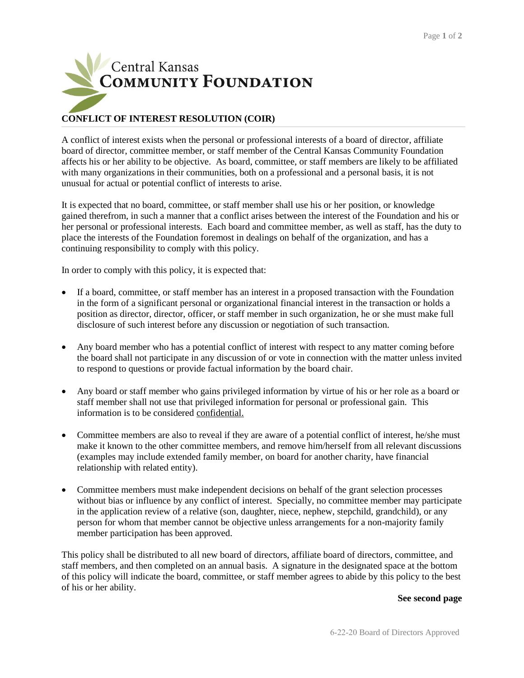

## **CONFLICT OF INTEREST RESOLUTION (COIR)**

A conflict of interest exists when the personal or professional interests of a board of director, affiliate board of director, committee member, or staff member of the Central Kansas Community Foundation affects his or her ability to be objective. As board, committee, or staff members are likely to be affiliated with many organizations in their communities, both on a professional and a personal basis, it is not unusual for actual or potential conflict of interests to arise.

It is expected that no board, committee, or staff member shall use his or her position, or knowledge gained therefrom, in such a manner that a conflict arises between the interest of the Foundation and his or her personal or professional interests. Each board and committee member, as well as staff, has the duty to place the interests of the Foundation foremost in dealings on behalf of the organization, and has a continuing responsibility to comply with this policy.

In order to comply with this policy, it is expected that:

- If a board, committee, or staff member has an interest in a proposed transaction with the Foundation in the form of a significant personal or organizational financial interest in the transaction or holds a position as director, director, officer, or staff member in such organization, he or she must make full disclosure of such interest before any discussion or negotiation of such transaction.
- Any board member who has a potential conflict of interest with respect to any matter coming before the board shall not participate in any discussion of or vote in connection with the matter unless invited to respond to questions or provide factual information by the board chair.
- Any board or staff member who gains privileged information by virtue of his or her role as a board or staff member shall not use that privileged information for personal or professional gain. This information is to be considered confidential.
- Committee members are also to reveal if they are aware of a potential conflict of interest, he/she must make it known to the other committee members, and remove him/herself from all relevant discussions (examples may include extended family member, on board for another charity, have financial relationship with related entity).
- Committee members must make independent decisions on behalf of the grant selection processes without bias or influence by any conflict of interest. Specially, no committee member may participate in the application review of a relative (son, daughter, niece, nephew, stepchild, grandchild), or any person for whom that member cannot be objective unless arrangements for a non-majority family member participation has been approved.

This policy shall be distributed to all new board of directors, affiliate board of directors, committee, and staff members, and then completed on an annual basis. A signature in the designated space at the bottom of this policy will indicate the board, committee, or staff member agrees to abide by this policy to the best of his or her ability.

## **See second page**